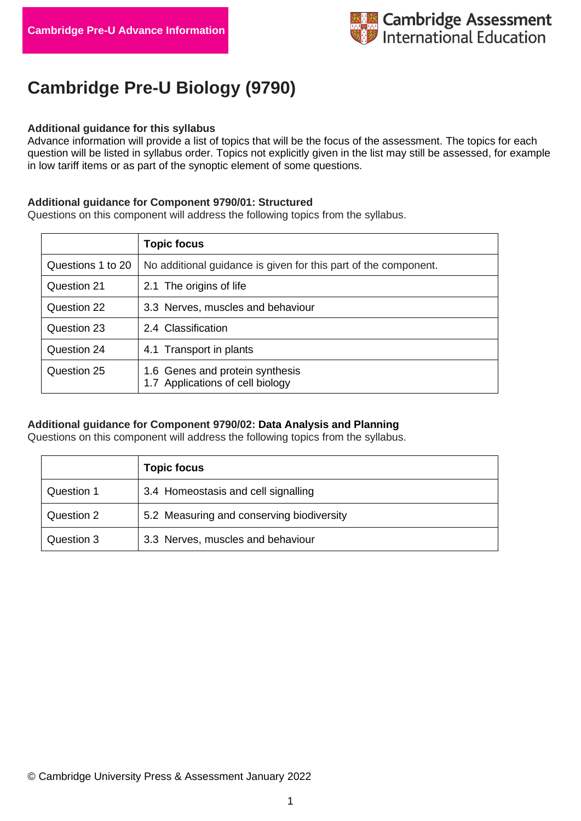# **Cambridge Pre-U Biology (9790)**

### **Additional guidance for this syllabus**

Advance information will provide a list of topics that will be the focus of the assessment. The topics for each question will be listed in syllabus order. Topics not explicitly given in the list may still be assessed, for example in low tariff items or as part of the synoptic element of some questions.

#### **Additional guidance for Component 9790/01: Structured**

Questions on this component will address the following topics from the syllabus.

|                   | <b>Topic focus</b>                                                  |
|-------------------|---------------------------------------------------------------------|
| Questions 1 to 20 | No additional guidance is given for this part of the component.     |
| Question 21       | 2.1 The origins of life                                             |
| Question 22       | 3.3 Nerves, muscles and behaviour                                   |
| Question 23       | 2.4 Classification                                                  |
| Question 24       | 4.1 Transport in plants                                             |
| Question 25       | 1.6 Genes and protein synthesis<br>1.7 Applications of cell biology |

# **Additional guidance for Component 9790/02: Data Analysis and Planning**

Questions on this component will address the following topics from the syllabus.

|            | <b>Topic focus</b>                        |
|------------|-------------------------------------------|
| Question 1 | 3.4 Homeostasis and cell signalling       |
| Question 2 | 5.2 Measuring and conserving biodiversity |
| Question 3 | 3.3 Nerves, muscles and behaviour         |